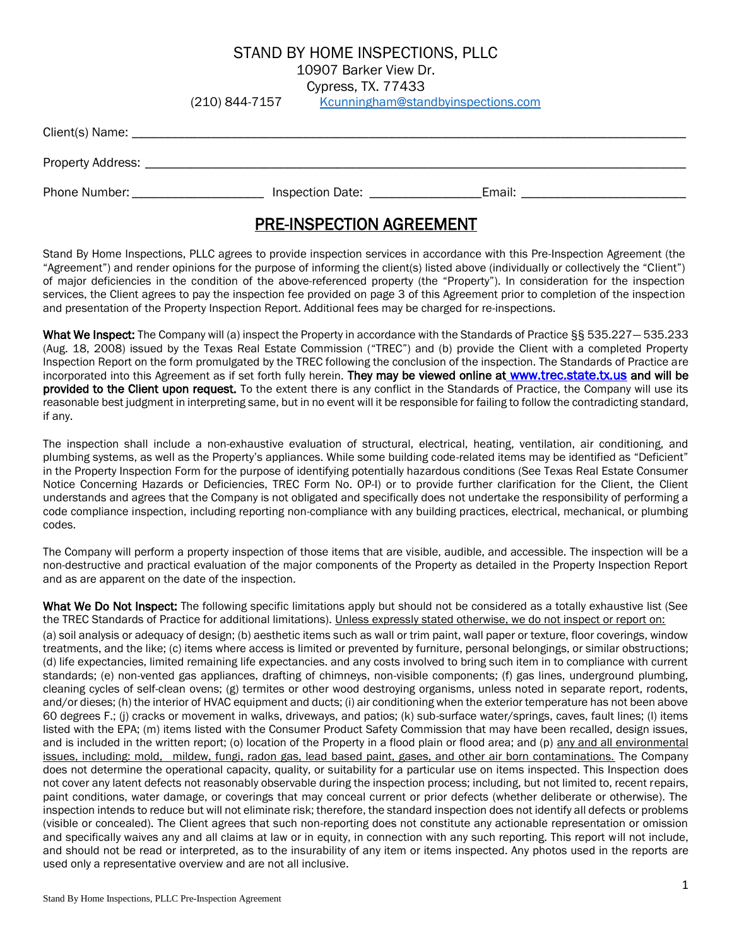## STAND BY HOME INSPECTIONS, PLLC

10907 Barker View Dr.

Cypress, TX. 77433

(210) 844-7157 [Kcunningham@standbyinspections.com](mailto:Kcunningham@standbyinspections.com)

| Client(s) Name:   |                  |        |
|-------------------|------------------|--------|
| Property Address: |                  |        |
| Phone Number:     | Inspection Date: | Email: |

## PRE-INSPECTION AGREEMENT

Stand By Home Inspections, PLLC agrees to provide inspection services in accordance with this Pre-Inspection Agreement (the "Agreement") and render opinions for the purpose of informing the client(s) listed above (individually or collectively the "Client") of major deficiencies in the condition of the above-referenced property (the "Property"). In consideration for the inspection services, the Client agrees to pay the inspection fee provided on page 3 of this Agreement prior to completion of the inspection and presentation of the Property Inspection Report. Additional fees may be charged for re-inspections.

What We Inspect: The Company will (a) inspect the Property in accordance with the Standards of Practice §§ 535.227 - 535.233 (Aug. 18, 2008) issued by the Texas Real Estate Commission ("TREC") and (b) provide the Client with a completed Property Inspection Report on the form promulgated by the TREC following the conclusion of the inspection. The Standards of Practice are incorporated into this Agreement as if set forth fully herein. They may be viewed online at [www.trec.state.tx.us](file:///C:/Users/Larry/Documents/Clients/Cunningham,%20Kevin/www.trec.state.tx.us) and will be provided to the Client upon request. To the extent there is any conflict in the Standards of Practice, the Company will use its reasonable best judgment in interpreting same, but in no event will it be responsible for failing to follow the contradicting standard, if any.

The inspection shall include a non-exhaustive evaluation of structural, electrical, heating, ventilation, air conditioning, and plumbing systems, as well as the Property's appliances. While some building code-related items may be identified as "Deficient" in the Property Inspection Form for the purpose of identifying potentially hazardous conditions (See Texas Real Estate Consumer Notice Concerning Hazards or Deficiencies, TREC Form No. OP-I) or to provide further clarification for the Client, the Client understands and agrees that the Company is not obligated and specifically does not undertake the responsibility of performing a code compliance inspection, including reporting non-compliance with any building practices, electrical, mechanical, or plumbing codes.

The Company will perform a property inspection of those items that are visible, audible, and accessible. The inspection will be a non-destructive and practical evaluation of the major components of the Property as detailed in the Property Inspection Report and as are apparent on the date of the inspection.

What We Do Not Inspect: The following specific limitations apply but should not be considered as a totally exhaustive list (See the TREC Standards of Practice for additional limitations). Unless expressly stated otherwise, we do not inspect or report on:

(a) soil analysis or adequacy of design; (b) aesthetic items such as wall or trim paint, wall paper or texture, floor coverings, window treatments, and the like; (c) items where access is limited or prevented by furniture, personal belongings, or similar obstructions; (d) life expectancies, limited remaining life expectancies. and any costs involved to bring such item in to compliance with current standards; (e) non-vented gas appliances, drafting of chimneys, non-visible components; (f) gas lines, underground plumbing, cleaning cycles of self-clean ovens; (g) termites or other wood destroying organisms, unless noted in separate report, rodents, and/or dieses; (h) the interior of HVAC equipment and ducts; (i) air conditioning when the exterior temperature has not been above 60 degrees F.; (j) cracks or movement in walks, driveways, and patios; (k) sub-surface water/springs, caves, fault lines; (l) items listed with the EPA; (m) items listed with the Consumer Product Safety Commission that may have been recalled, design issues, and is included in the written report; (o) location of the Property in a flood plain or flood area; and (p) any and all environmental issues, including: mold, mildew, fungi, radon gas, lead based paint, gases, and other air born contaminations. The Company does not determine the operational capacity, quality, or suitability for a particular use on items inspected. This Inspection does not cover any latent defects not reasonably observable during the inspection process; including, but not limited to, recent repairs, paint conditions, water damage, or coverings that may conceal current or prior defects (whether deliberate or otherwise). The inspection intends to reduce but will not eliminate risk; therefore, the standard inspection does not identify all defects or problems (visible or concealed). The Client agrees that such non-reporting does not constitute any actionable representation or omission and specifically waives any and all claims at law or in equity, in connection with any such reporting. This report will not include, and should not be read or interpreted, as to the insurability of any item or items inspected. Any photos used in the reports are used only a representative overview and are not all inclusive.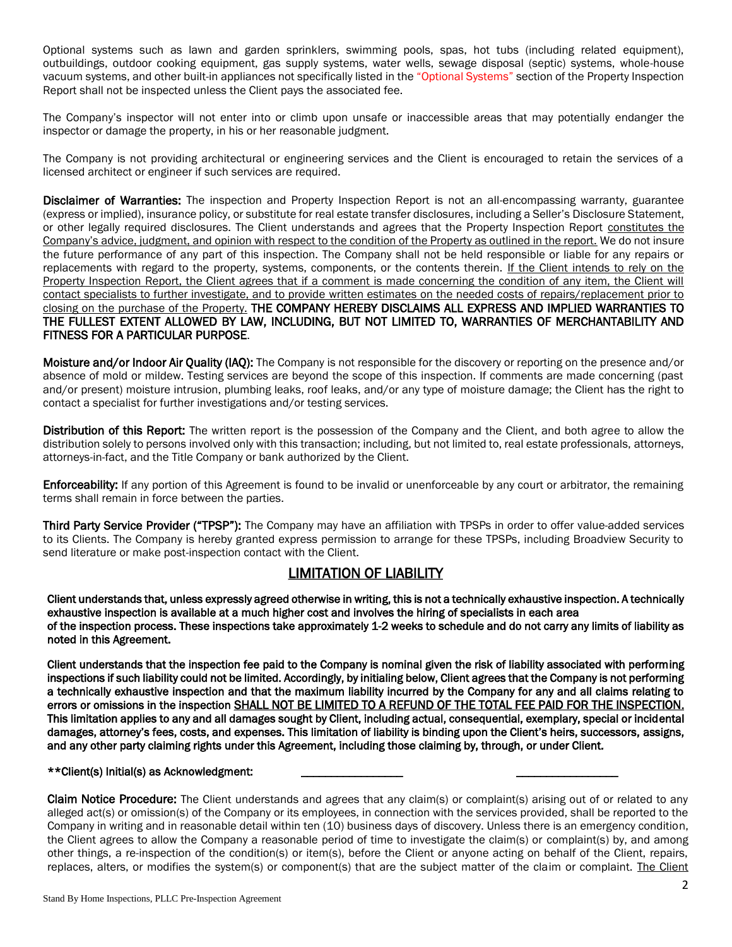Optional systems such as lawn and garden sprinklers, swimming pools, spas, hot tubs (including related equipment), outbuildings, outdoor cooking equipment, gas supply systems, water wells, sewage disposal (septic) systems, whole-house vacuum systems, and other built-in appliances not specifically listed in the "Optional Systems" section of the Property Inspection Report shall not be inspected unless the Client pays the associated fee.

The Company's inspector will not enter into or climb upon unsafe or inaccessible areas that may potentially endanger the inspector or damage the property, in his or her reasonable judgment.

The Company is not providing architectural or engineering services and the Client is encouraged to retain the services of a licensed architect or engineer if such services are required.

Disclaimer of Warranties: The inspection and Property Inspection Report is not an all-encompassing warranty, guarantee (express or implied), insurance policy, or substitute for real estate transfer disclosures, including a Seller's Disclosure Statement, or other legally required disclosures. The Client understands and agrees that the Property Inspection Report constitutes the Company's advice, judgment, and opinion with respect to the condition of the Property as outlined in the report. We do not insure the future performance of any part of this inspection. The Company shall not be held responsible or liable for any repairs or replacements with regard to the property, systems, components, or the contents therein. If the Client intends to rely on the Property Inspection Report, the Client agrees that if a comment is made concerning the condition of any item, the Client will contact specialists to further investigate, and to provide written estimates on the needed costs of repairs/replacement prior to closing on the purchase of the Property. THE COMPANY HEREBY DISCLAIMS ALL EXPRESS AND IMPLIED WARRANTIES TO THE FULLEST EXTENT ALLOWED BY LAW, INCLUDING, BUT NOT LIMITED TO, WARRANTIES OF MERCHANTABILITY AND FITNESS FOR A PARTICULAR PURPOSE.

Moisture and/or Indoor Air Quality (IAQ): The Company is not responsible for the discovery or reporting on the presence and/or absence of mold or mildew. Testing services are beyond the scope of this inspection. If comments are made concerning (past and/or present) moisture intrusion, plumbing leaks, roof leaks, and/or any type of moisture damage; the Client has the right to contact a specialist for further investigations and/or testing services.

Distribution of this Report: The written report is the possession of the Company and the Client, and both agree to allow the distribution solely to persons involved only with this transaction; including, but not limited to, real estate professionals, attorneys, attorneys-in-fact, and the Title Company or bank authorized by the Client.

Enforceability: If any portion of this Agreement is found to be invalid or unenforceable by any court or arbitrator, the remaining terms shall remain in force between the parties.

Third Party Service Provider ("TPSP"): The Company may have an affiliation with TPSPs in order to offer value-added services to its Clients. The Company is hereby granted express permission to arrange for these TPSPs, including Broadview Security to send literature or make post-inspection contact with the Client.

## LIMITATION OF LIABILITY

Client understands that, unless expressly agreed otherwise in writing, this is not a technically exhaustive inspection. A technically exhaustive inspection is available at a much higher cost and involves the hiring of specialists in each area of the inspection process. These inspections take approximately 1-2 weeks to schedule and do not carry any limits of liability as noted in this Agreement.

Client understands that the inspection fee paid to the Company is nominal given the risk of liability associated with performing inspections if such liability could not be limited. Accordingly, by initialing below, Client agrees that the Company is not performing a technically exhaustive inspection and that the maximum liability incurred by the Company for any and all claims relating to errors or omissions in the inspection SHALL NOT BE LIMITED TO A REFUND OF THE TOTAL FEE PAID FOR THE INSPECTION. This limitation applies to any and all damages sought by Client, including actual, consequential, exemplary, special or incidental damages, attorney's fees, costs, and expenses. This limitation of liability is binding upon the Client's heirs, successors, assigns, and any other party claiming rights under this Agreement, including those claiming by, through, or under Client.

## \*\*Client(s) Initial(s) as Acknowledgment: \_\_\_\_\_\_\_\_\_\_\_\_\_\_\_\_\_ \_\_\_\_\_\_\_\_\_\_\_\_\_\_\_\_\_

Claim Notice Procedure: The Client understands and agrees that any claim(s) or complaint(s) arising out of or related to any alleged act(s) or omission(s) of the Company or its employees, in connection with the services provided, shall be reported to the Company in writing and in reasonable detail within ten (10) business days of discovery. Unless there is an emergency condition, the Client agrees to allow the Company a reasonable period of time to investigate the claim(s) or complaint(s) by, and among other things, a re-inspection of the condition(s) or item(s), before the Client or anyone acting on behalf of the Client, repairs, replaces, alters, or modifies the system(s) or component(s) that are the subject matter of the claim or complaint. The Client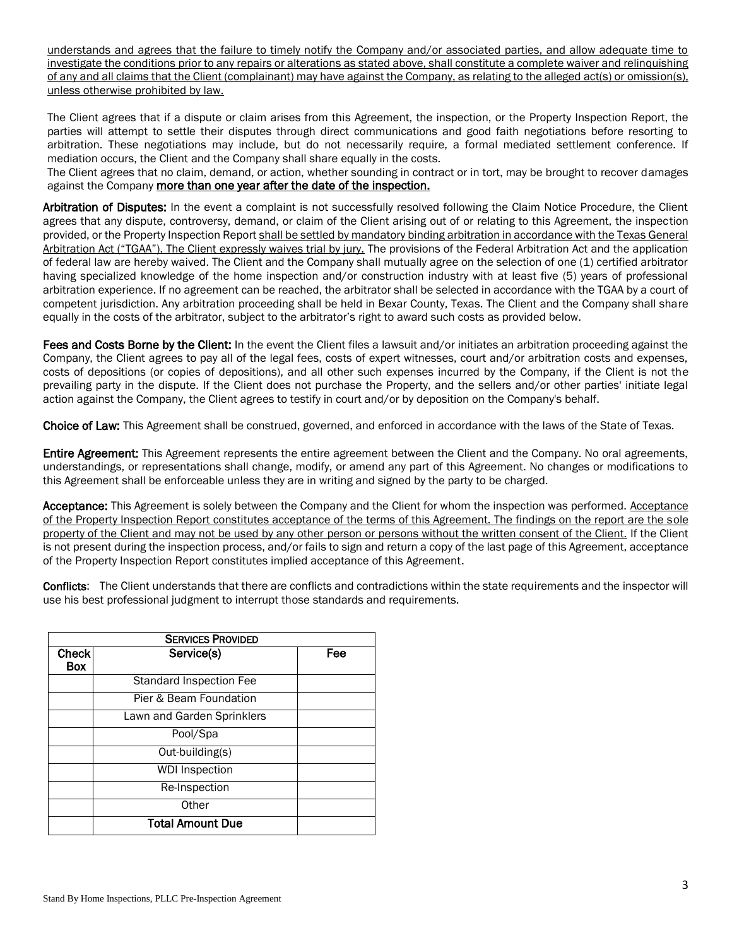understands and agrees that the failure to timely notify the Company and/or associated parties, and allow adequate time to investigate the conditions prior to any repairs or alterations as stated above, shall constitute a complete waiver and relinquishing of any and all claims that the Client (complainant) may have against the Company, as relating to the alleged act(s) or omission(s), unless otherwise prohibited by law.

The Client agrees that if a dispute or claim arises from this Agreement, the inspection, or the Property Inspection Report, the parties will attempt to settle their disputes through direct communications and good faith negotiations before resorting to arbitration. These negotiations may include, but do not necessarily require, a formal mediated settlement conference. If mediation occurs, the Client and the Company shall share equally in the costs.

The Client agrees that no claim, demand, or action, whether sounding in contract or in tort, may be brought to recover damages against the Company more than one year after the date of the inspection.

Arbitration of Disputes: In the event a complaint is not successfully resolved following the Claim Notice Procedure, the Client agrees that any dispute, controversy, demand, or claim of the Client arising out of or relating to this Agreement, the inspection provided, or the Property Inspection Report shall be settled by mandatory binding arbitration in accordance with the Texas General Arbitration Act ("TGAA"). The Client expressly waives trial by jury. The provisions of the Federal Arbitration Act and the application of federal law are hereby waived. The Client and the Company shall mutually agree on the selection of one (1) certified arbitrator having specialized knowledge of the home inspection and/or construction industry with at least five (5) years of professional arbitration experience. If no agreement can be reached, the arbitrator shall be selected in accordance with the TGAA by a court of competent jurisdiction. Any arbitration proceeding shall be held in Bexar County, Texas. The Client and the Company shall share equally in the costs of the arbitrator, subject to the arbitrator's right to award such costs as provided below.

Fees and Costs Borne by the Client: In the event the Client files a lawsuit and/or initiates an arbitration proceeding against the Company, the Client agrees to pay all of the legal fees, costs of expert witnesses, court and/or arbitration costs and expenses, costs of depositions (or copies of depositions), and all other such expenses incurred by the Company, if the Client is not the prevailing party in the dispute. If the Client does not purchase the Property, and the sellers and/or other parties' initiate legal action against the Company, the Client agrees to testify in court and/or by deposition on the Company's behalf.

Choice of Law: This Agreement shall be construed, governed, and enforced in accordance with the laws of the State of Texas.

Entire Agreement: This Agreement represents the entire agreement between the Client and the Company. No oral agreements, understandings, or representations shall change, modify, or amend any part of this Agreement. No changes or modifications to this Agreement shall be enforceable unless they are in writing and signed by the party to be charged.

Acceptance: This Agreement is solely between the Company and the Client for whom the inspection was performed. Acceptance of the Property Inspection Report constitutes acceptance of the terms of this Agreement. The findings on the report are the sole property of the Client and may not be used by any other person or persons without the written consent of the Client. If the Client is not present during the inspection process, and/or fails to sign and return a copy of the last page of this Agreement, acceptance of the Property Inspection Report constitutes implied acceptance of this Agreement.

Conflicts: The Client understands that there are conflicts and contradictions within the state requirements and the inspector will use his best professional judgment to interrupt those standards and requirements.

| <b>SERVICES PROVIDED</b>   |                                |     |  |  |
|----------------------------|--------------------------------|-----|--|--|
| <b>Check</b><br><b>Box</b> | Service(s)                     | Fee |  |  |
|                            | <b>Standard Inspection Fee</b> |     |  |  |
|                            | Pier & Beam Foundation         |     |  |  |
|                            | Lawn and Garden Sprinklers     |     |  |  |
|                            | Pool/Spa                       |     |  |  |
|                            | Out-building(s)                |     |  |  |
|                            | <b>WDI Inspection</b>          |     |  |  |
|                            | Re-Inspection                  |     |  |  |
|                            | Other                          |     |  |  |
|                            | <b>Total Amount Due</b>        |     |  |  |